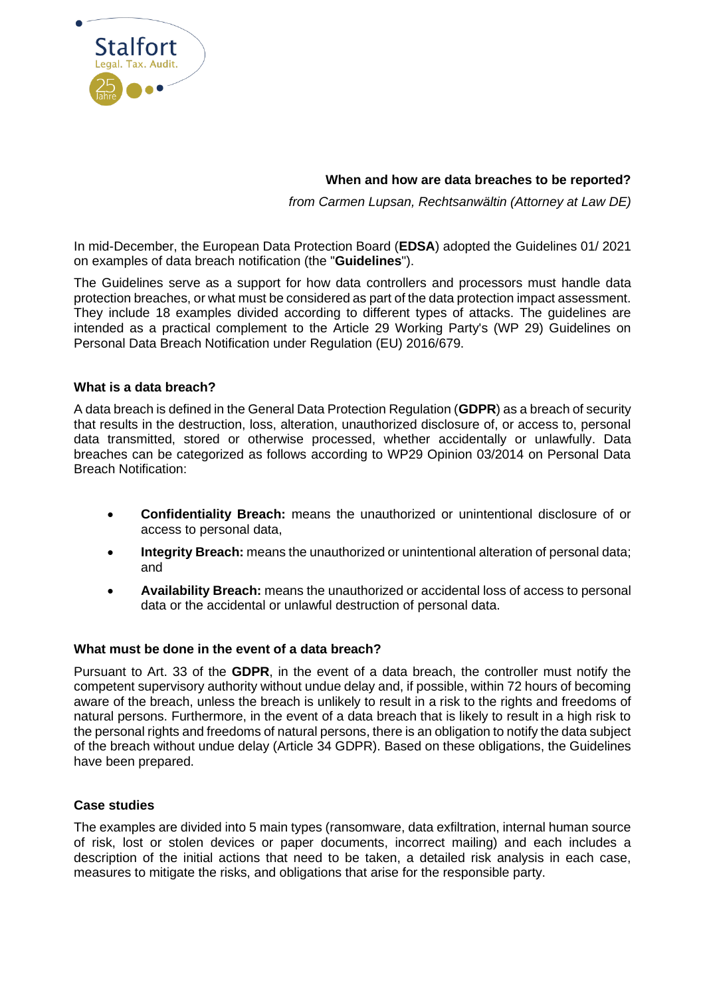

# **When and how are data breaches to be reported?**

*from Carmen Lupsan, Rechtsanwältin (Attorney at Law DE)*

In mid-December, the European Data Protection Board (**EDSA**) adopted the Guidelines 01/ 2021 on examples of data breach notification (the "**Guidelines**").

The Guidelines serve as a support for how data controllers and processors must handle data protection breaches, or what must be considered as part of the data protection impact assessment. They include 18 examples divided according to different types of attacks. The guidelines are intended as a practical complement to the Article 29 Working Party's (WP 29) Guidelines on Personal Data Breach Notification under Regulation (EU) 2016/679.

# **What is a data breach?**

A data breach is defined in the General Data Protection Regulation (**GDPR**) as a breach of security that results in the destruction, loss, alteration, unauthorized disclosure of, or access to, personal data transmitted, stored or otherwise processed, whether accidentally or unlawfully. Data breaches can be categorized as follows according to WP29 Opinion 03/2014 on Personal Data Breach Notification:

- **Confidentiality Breach:** means the unauthorized or unintentional disclosure of or access to personal data,
- **Integrity Breach:** means the unauthorized or unintentional alteration of personal data; and
- **Availability Breach:** means the unauthorized or accidental loss of access to personal data or the accidental or unlawful destruction of personal data.

# **What must be done in the event of a data breach?**

Pursuant to Art. 33 of the **GDPR**, in the event of a data breach, the controller must notify the competent supervisory authority without undue delay and, if possible, within 72 hours of becoming aware of the breach, unless the breach is unlikely to result in a risk to the rights and freedoms of natural persons. Furthermore, in the event of a data breach that is likely to result in a high risk to the personal rights and freedoms of natural persons, there is an obligation to notify the data subject of the breach without undue delay (Article 34 GDPR). Based on these obligations, the Guidelines have been prepared.

# **Case studies**

The examples are divided into 5 main types (ransomware, data exfiltration, internal human source of risk, lost or stolen devices or paper documents, incorrect mailing) and each includes a description of the initial actions that need to be taken, a detailed risk analysis in each case, measures to mitigate the risks, and obligations that arise for the responsible party.